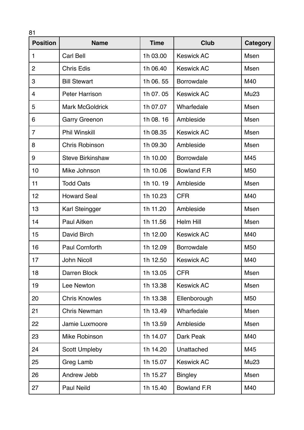| 81<br><b>Position</b> | <b>Name</b>             | <b>Time</b> | <b>Club</b>        | <b>Category</b>  |
|-----------------------|-------------------------|-------------|--------------------|------------------|
| 1                     | Carl Bell               | 1h 03.00    | <b>Keswick AC</b>  | Msen             |
| $\overline{2}$        | <b>Chris Edis</b>       | 1h 06.40    | <b>Keswick AC</b>  | <b>Msen</b>      |
| 3                     | <b>Bill Stewart</b>     | 1h 06.55    | <b>Borrowdale</b>  | M40              |
| 4                     | <b>Peter Harrison</b>   | 1h 07.05    | <b>Keswick AC</b>  | Mu <sub>23</sub> |
| 5                     | <b>Mark McGoldrick</b>  | 1h 07.07    | Wharfedale         | Msen             |
| 6                     | <b>Garry Greenon</b>    | 1h 08.16    | Ambleside          | Msen             |
| $\overline{7}$        | <b>Phil Winskill</b>    | 1h 08.35    | <b>Keswick AC</b>  | Msen             |
| 8                     | <b>Chris Robinson</b>   | 1h 09.30    | Ambleside          | Msen             |
| 9                     | <b>Steve Birkinshaw</b> | 1h 10.00    | <b>Borrowdale</b>  | M45              |
| 10                    | Mike Johnson            | 1h 10.06    | Bowland F.R        | M <sub>50</sub>  |
| 11                    | <b>Todd Oats</b>        | 1h 10.19    | Ambleside          | Msen             |
| 12                    | <b>Howard Seal</b>      | 1h 10.23    | <b>CFR</b>         | M40              |
| 13                    | Karl Steingger          | 1h 11.20    | Ambleside          | Msen             |
| 14                    | <b>Paul Aitken</b>      | 1h 11.56    | <b>Helm Hill</b>   | <b>Msen</b>      |
| 15                    | David Birch             | 1h 12.00    | <b>Keswick AC</b>  | M40              |
| 16                    | <b>Paul Cornforth</b>   | 1h 12.09    | <b>Borrowdale</b>  | M <sub>50</sub>  |
| 17                    | <b>John Nicoll</b>      | 1h 12.50    | <b>Keswick AC</b>  | M40              |
| 18                    | Darren Block            | 1h 13.05    | <b>CFR</b>         | Msen             |
| 19                    | Lee Newton              | 1h 13.38    | <b>Keswick AC</b>  | Msen             |
| 20                    | <b>Chris Knowles</b>    | 1h 13.38    | Ellenborough       | M50              |
| 21                    | <b>Chris Newman</b>     | 1h 13.49    | Wharfedale         | Msen             |
| 22                    | Jamie Luxmoore          | 1h 13.59    | Ambleside          | Msen             |
| 23                    | Mike Robinson           | 1h 14.07    | Dark Peak          | M40              |
| 24                    | <b>Scott Umpleby</b>    | 1h 14.20    | Unattached         | M45              |
| 25                    | Greg Lamb               | 1h 15.07    | <b>Keswick AC</b>  | Mu23             |
| 26                    | Andrew Jebb             | 1h 15.27    | <b>Bingley</b>     | Msen             |
| 27                    | <b>Paul Neild</b>       | 1h 15.40    | <b>Bowland F.R</b> | M40              |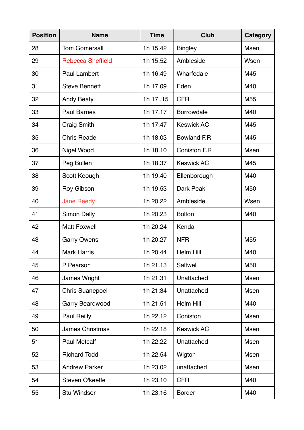| <b>Position</b> | <b>Name</b>              | <b>Time</b> | <b>Club</b>          | <b>Category</b> |
|-----------------|--------------------------|-------------|----------------------|-----------------|
| 28              | <b>Tom Gomersall</b>     | 1h 15.42    | <b>Bingley</b>       | <b>Msen</b>     |
| 29              | <b>Rebecca Sheffield</b> | 1h 15.52    | Ambleside            | Wsen            |
| 30              | <b>Paul Lambert</b>      | 1h 16.49    | Wharfedale           | M45             |
| 31              | <b>Steve Bennett</b>     | 1h 17.09    | Eden                 | M40             |
| 32              | <b>Andy Beaty</b>        | 1h 1715     | <b>CFR</b>           | M <sub>55</sub> |
| 33              | <b>Paul Barnes</b>       | 1h 17.17    | Borrowdale           | M40             |
| 34              | <b>Craig Smith</b>       | 1h 17.47    | <b>Keswick AC</b>    | M45             |
| 35              | <b>Chris Reade</b>       | 1h 18.03    | <b>Bowland F.R</b>   | M45             |
| 36              | Nigel Wood               | 1h 18.10    | <b>Coniston F.R.</b> | Msen            |
| 37              | Peg Bullen               | 1h 18.37    | <b>Keswick AC</b>    | M45             |
| 38              | Scott Keough             | 1h 19.40    | Ellenborough         | M40             |
| 39              | Roy Gibson               | 1h 19.53    | Dark Peak            | M <sub>50</sub> |
| 40              | <b>Jane Reedy</b>        | 1h 20.22    | Ambleside            | Wsen            |
| 41              | <b>Simon Dally</b>       | 1h 20.23    | <b>Bolton</b>        | M40             |
| 42              | <b>Matt Foxwell</b>      | 1h 20.24    | Kendal               |                 |
| 43              | <b>Garry Owens</b>       | 1h 20.27    | <b>NFR</b>           | M <sub>55</sub> |
| 44              | <b>Mark Harris</b>       | 1h 20.44    | Helm Hill            | M40             |
| 45              | P Pearson                | 1h 21.13    | Saltwell             | M50             |
| 46              | James Wright             | 1h 21.31    | Unattached           | <b>Msen</b>     |
| 47              | <b>Chris Suanepoel</b>   | 1h 21:34    | Unattached           | Msen            |
| 48              | <b>Garry Beardwood</b>   | 1h 21.51    | Helm Hill            | M40             |
| 49              | <b>Paul Reilly</b>       | 1h 22.12    | Coniston             | Msen            |
| 50              | <b>James Christmas</b>   | 1h 22.18    | <b>Keswick AC</b>    | Msen            |
| 51              | <b>Paul Metcalf</b>      | 1h 22.22    | Unattached           | Msen            |
| 52              | <b>Richard Todd</b>      | 1h 22.54    | Wigton               | Msen            |
| 53              | <b>Andrew Parker</b>     | 1h 23.02    | unattached           | Msen            |
| 54              | Steven O'keeffe          | 1h 23.10    | <b>CFR</b>           | M40             |
| 55              | <b>Stu Windsor</b>       | 1h 23.16    | <b>Border</b>        | M40             |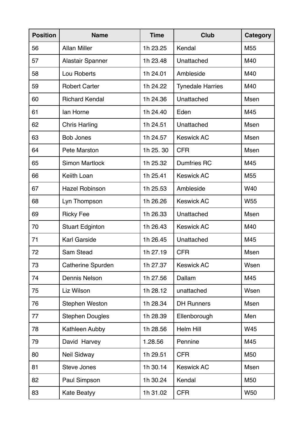| <b>Position</b> | <b>Name</b>            | <b>Time</b> | <b>Club</b>             | <b>Category</b> |
|-----------------|------------------------|-------------|-------------------------|-----------------|
| 56              | <b>Allan Miller</b>    | 1h 23.25    | Kendal                  | M <sub>55</sub> |
| 57              | Alastair Spanner       | 1h 23.48    | Unattached              | M40             |
| 58              | Lou Roberts            | 1h 24.01    | Ambleside               | M40             |
| 59              | <b>Robert Carter</b>   | 1h 24.22    | <b>Tynedale Harries</b> | M40             |
| 60              | <b>Richard Kendal</b>  | 1h 24.36    | Unattached              | <b>Msen</b>     |
| 61              | lan Horne              | 1h 24.40    | Eden                    | M45             |
| 62              | <b>Chris Harling</b>   | 1h 24.51    | Unattached              | Msen            |
| 63              | <b>Bob Jones</b>       | 1h 24.57    | <b>Keswick AC</b>       | <b>Msen</b>     |
| 64              | Pete Marston           | 1h 25.30    | <b>CFR</b>              | Msen            |
| 65              | <b>Simon Martlock</b>  | 1h 25.32    | <b>Dumfries RC</b>      | M45             |
| 66              | Keiith Loan            | 1h 25.41    | <b>Keswick AC</b>       | M <sub>55</sub> |
| 67              | <b>Hazel Robinson</b>  | 1h 25.53    | Ambleside               | W40             |
| 68              | Lyn Thompson           | 1h 26.26    | <b>Keswick AC</b>       | <b>W55</b>      |
| 69              | <b>Ricky Fee</b>       | 1h 26.33    | Unattached              | Msen            |
| 70              | <b>Stuart Edginton</b> | 1h 26.43    | <b>Keswick AC</b>       | M40             |
| 71              | <b>Karl Garside</b>    | 1h 26.45    | Unattached              | M45             |
| 72              | <b>Sam Stead</b>       | 1h 27.19    | <b>CFR</b>              | Msen            |
| 73              | Catherine Spurden      | 1h 27.37    | <b>Keswick AC</b>       | Wsen            |
| 74              | <b>Dennis Nelson</b>   | 1h 27.56    | Dallam                  | M45             |
| 75              | Liz Wilson             | 1h 28.12    | unattached              | Wsen            |
| 76              | <b>Stephen Weston</b>  | 1h 28.34    | <b>DH Runners</b>       | <b>Msen</b>     |
| 77              | <b>Stephen Dougles</b> | 1h 28.39    | Ellenborough            | Men             |
| 78              | Kathleen Aubby         | 1h 28.56    | Helm Hill               | W45             |
| 79              | David Harvey           | 1.28.56     | Pennine                 | M45             |
| 80              | <b>Neil Sidway</b>     | 1h 29.51    | <b>CFR</b>              | M50             |
| 81              | <b>Steve Jones</b>     | 1h 30.14    | <b>Keswick AC</b>       | Msen            |
| 82              | Paul Simpson           | 1h 30.24    | Kendal                  | M50             |
| 83              | <b>Kate Beatyy</b>     | 1h 31.02    | <b>CFR</b>              | <b>W50</b>      |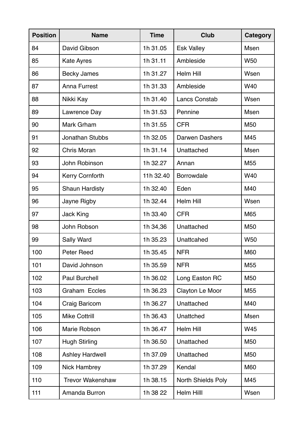| <b>Position</b> | <b>Name</b>             | <b>Time</b> | <b>Club</b>               | <b>Category</b> |
|-----------------|-------------------------|-------------|---------------------------|-----------------|
| 84              | David Gibson            | 1h 31.05    | <b>Esk Valley</b>         | <b>Msen</b>     |
| 85              | <b>Kate Ayres</b>       | 1h 31.11    | Ambleside                 | <b>W50</b>      |
| 86              | <b>Becky James</b>      | 1h 31.27    | <b>Helm Hill</b>          | Wsen            |
| 87              | <b>Anna Furrest</b>     | 1h 31.33    | Ambleside                 | W40             |
| 88              | Nikki Kay               | 1h 31.40    | <b>Lancs Constab</b>      | Wsen            |
| 89              | Lawrence Day            | 1h 31.53    | Pennine                   | <b>Msen</b>     |
| 90              | Mark Grham              | 1h 31.55    | <b>CFR</b>                | M <sub>50</sub> |
| 91              | <b>Jonathan Stubbs</b>  | 1h 32.05    | <b>Darwen Dashers</b>     | M45             |
| 92              | <b>Chris Moran</b>      | 1h 31.14    | Unattached                | <b>Msen</b>     |
| 93              | John Robinson           | 1h 32.27    | Annan                     | M <sub>55</sub> |
| 94              | <b>Kerry Cornforth</b>  | 11h 32.40   | Borrowdale                | W40             |
| 95              | <b>Shaun Hardisty</b>   | 1h 32.40    | Eden                      | M40             |
| 96              | Jayne Rigby             | 1h 32.44    | <b>Helm Hill</b>          | Wsen            |
| 97              | <b>Jack King</b>        | 1h 33.40    | <b>CFR</b>                | M65             |
| 98              | John Robson             | 1h 34,36    | Unattached                | M <sub>50</sub> |
| 99              | Sally Ward              | 1h 35.23    | Unattcahed                | <b>W50</b>      |
| 100             | Peter Reed              | 1h 35.45    | <b>NFR</b>                | M60             |
| 101             | David Johnson           | 1h 35.59    | <b>NFR</b>                | M <sub>55</sub> |
| 102             | <b>Paul Burchell</b>    | 1h 36.02    | Long Easton RC            | M <sub>50</sub> |
| 103             | Graham Eccles           | 1h 36.23    | Clayton Le Moor           | M55             |
| 104             | Craig Baricom           | 1h 36.27    | Unattached                | M40             |
| 105             | <b>Mike Cottrill</b>    | 1h 36.43    | Unattched                 | Msen            |
| 106             | Marie Robson            | 1h 36.47    | Helm Hill                 | W45             |
| 107             | <b>Hugh Stirling</b>    | 1h 36.50    | Unattached                | M50             |
| 108             | <b>Ashley Hardwell</b>  | 1h 37.09    | Unattached                | M <sub>50</sub> |
| 109             | <b>Nick Hambrey</b>     | 1h 37.29    | Kendal                    | M60             |
| 110             | <b>Trevor Wakenshaw</b> | 1h 38.15    | <b>North Shields Poly</b> | M45             |
| 111             | Amanda Burron           | 1h 38 22    | Helm Hilll                | Wsen            |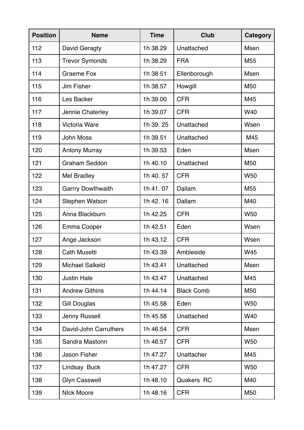| <b>Position</b> | <b>Name</b>              | <b>Time</b> | <b>Club</b>       | <b>Category</b> |
|-----------------|--------------------------|-------------|-------------------|-----------------|
| 112             | David Geragty            | 1h 38.29    | Unattached        | Msen            |
| 113             | <b>Trevor Symonds</b>    | 1h 38.29    | <b>FRA</b>        | M <sub>55</sub> |
| 114             | <b>Graeme Fox</b>        | 1h 38 51    | Ellenborough      | Msen            |
| 115             | <b>Jim Fisher</b>        | 1h 38.57    | Howgill           | M50             |
| 116             | Les Backer               | 1h 39.00    | <b>CFR</b>        | M45             |
| 117             | Jennie Chaterley         | 1h 39.07    | <b>CFR</b>        | W40             |
| 118             | <b>Victoria Ware</b>     | 1h 39.25    | Unattached        | Wsen            |
| 119             | <b>John Moss</b>         | 1h 39.51    | Unattached        | M45             |
| 120             | <b>Antony Murray</b>     | 1h 39.53    | Eden              | Msen            |
| 121             | <b>Graham Seddon</b>     | 1h 40.10    | Unattached        | M <sub>50</sub> |
| 122             | <b>Mel Bradley</b>       | 1h 40.57    | <b>CFR</b>        | <b>W50</b>      |
| 123             | <b>Garrry Dowthwaith</b> | 1h 41.07    | Dallam            | M <sub>55</sub> |
| 124             | <b>Stephen Watson</b>    | 1h 42.16    | Dallam            | M40             |
| 125             | Anna Blackburn           | 1h 42.25    | <b>CFR</b>        | <b>W50</b>      |
| 126             | Emma Cooper              | 1h 42.51    | Eden              | Wsen            |
| 127             | Ange Jackson             | 1h 43.12    | <b>CFR</b>        | Wsen            |
| 128             | <b>Cath Musetti</b>      | 1h 43.39    | Ambleside         | W45             |
| 129             | <b>Michael Salkeld</b>   | 1h 43.41    | Unattached        | Msen            |
| 130             | <b>Justin Hale</b>       | 1h 43.47    | Unattached        | M45             |
| 131             | <b>Andrew Githins</b>    | 1h 44.14    | <b>Black Comb</b> | M50             |
| 132             | Gill Douglas             | 1h 45.58    | Eden              | <b>W50</b>      |
| 133             | Jenny Russell            | 1h 45.58    | Unattached        | W40             |
| 134             | David-John Carruthers    | 1h 46.54    | <b>CFR</b>        | Msen            |
| 135             | Sandra Mastonn           | 1h 46.57    | <b>CFR</b>        | <b>W50</b>      |
| 136             | <b>Jason Fisher</b>      | 1h 47.27    | Unattacher        | M45             |
| 137             | Lindsay Buck             | 1h 47.27    | <b>CFR</b>        | <b>W50</b>      |
| 138             | <b>Glyn Casswell</b>     | 1h 48.10    | Quakers RC        | M40             |
| 139             | <b>NIck Moore</b>        | 1h 48.16    | <b>CFR</b>        | M50             |